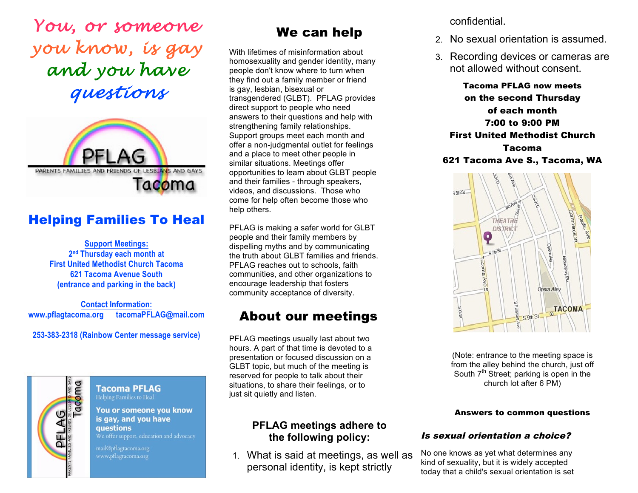*You, or someone you know, is gay and you have questions*



# Helping Families To Heal

**Support Meetings: 2nd Thursday each month at First United Methodist Church Tacoma 621 Tacoma Avenue South (entrance and parking in the back)**

**Contact Information: www.pflagtacoma.org tacomaPFLAG@mail.com** 

**253-383-2318 (Rainbow Center message service)**



#### **Tacoma PFLAG** Helping Families to Heal

You or someone you know is gay, and you have questions We offer support, education and advocacy

mail@pflagtacoma.org

# We can help

 With lifetimes of misinformation about homosexuality and gender identity, many people don't know where to turn when they find out a family member or friend is gay, lesbian, bisexual or transgendered (GLBT). PFLAG provides direct support to people who need answers to their questions and help with strengthening family relationships. Support groups meet each month and offer a non-judgmental outlet for feelings and a place to meet other people in similar situations. Meetings offer opportunities to learn about GLBT people and their families - through speakers, videos, and discussions. Those who come for help often become those who help others.

 PFLAG is making a safer world for GLBT people and their family members by dispelling myths and by communicating the truth about GLBT families and friends. PFLAG reaches out to schools, faith communities, and other organizations to encourage leadership that fosters community acceptance of diversity.

# About our meetings

 PFLAG meetings usually last about two hours. A part of that time is devoted to a presentation or focused discussion on a GLBT topic, but much of the meeting is reserved for people to talk about their situations, to share their feelings, or to just sit quietly and listen.

## **PFLAG meetings adhere to the following policy:**

1. What is said at meetings, as well as personal identity, is kept strictly

confidential.

- 2. No sexual orientation is assumed.
- 3. Recording devices or cameras are not allowed without consent.

Tacoma PFLAG now meets on the second Thursday of each month 7:00 to 9:00 PM First United Methodist Church Tacoma 621 Tacoma Ave S., Tacoma, WA



(Note: entrance to the meeting space is from the alley behind the church, just off South  $7<sup>th</sup>$  Street; parking is open in the church lot after 6 PM)

#### Answers to common questions

#### Is sexual orientation a choice?

No one knows as yet what determines any kind of sexuality, but it is widely accepted today that a child's sexual orientation is set